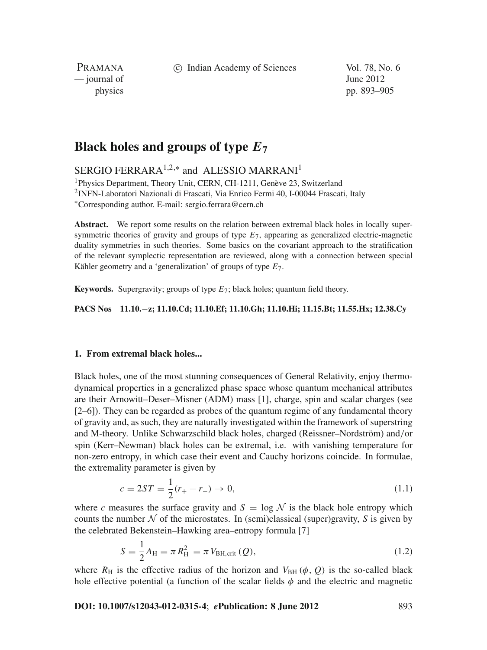c Indian Academy of Sciences Vol. 78, No. 6

PRAMANA  $\frac{1}{2}$  journal of June 2012

physics pp. 893–905

# **Black holes and groups of type** *E***<sup>7</sup>**

SERGIO FERRARA<sup>1,2,\*</sup> and ALESSIO MARRANI<sup>1</sup>

<sup>1</sup>Physics Department, Theory Unit, CERN, CH-1211, Genève 23, Switzerland 2INFN-Laboratori Nazionali di Frascati, Via Enrico Fermi 40, I-00044 Frascati, Italy <sup>∗</sup>Corresponding author. E-mail: sergio.ferrara@cern.ch

**Abstract.** We report some results on the relation between extremal black holes in locally supersymmetric theories of gravity and groups of type *E*7, appearing as generalized electric-magnetic duality symmetries in such theories. Some basics on the covariant approach to the stratification of the relevant symplectic representation are reviewed, along with a connection between special Kähler geometry and a 'generalization' of groups of type *E*7.

**Keywords.** Supergravity; groups of type *E*7; black holes; quantum field theory.

**PACS Nos 11.10.**−**z; 11.10.Cd; 11.10.Ef; 11.10.Gh; 11.10.Hi; 11.15.Bt; 11.55.Hx; 12.38.Cy**

## **1. From extremal black holes...**

Black holes, one of the most stunning consequences of General Relativity, enjoy thermodynamical properties in a generalized phase space whose quantum mechanical attributes are their Arnowitt–Deser–Misner (ADM) mass [1], charge, spin and scalar charges (see [2–6]). They can be regarded as probes of the quantum regime of any fundamental theory of gravity and, as such, they are naturally investigated within the framework of superstring and M-theory. Unlike Schwarzschild black holes, charged (Reissner–Nordström) and/or spin (Kerr–Newman) black holes can be extremal, i.e. with vanishing temperature for non-zero entropy, in which case their event and Cauchy horizons coincide. In formulae, the extremality parameter is given by

$$
c = 2ST = \frac{1}{2}(r_{+} - r_{-}) \to 0,
$$
\n(1.1)

where *c* measures the surface gravity and  $S = \log N$  is the black hole entropy which counts the number  $\mathcal N$  of the microstates. In (semi)classical (super)gravity,  $S$  is given by the celebrated Bekenstein–Hawking area–entropy formula [7]

$$
S = \frac{1}{2}A_{\rm H} = \pi R_{\rm H}^2 = \pi V_{\rm BH, crit}(Q),\tag{1.2}
$$

where  $R_H$  is the effective radius of the horizon and  $V_{BH}(\phi, Q)$  is the so-called black hole effective potential (a function of the scalar fields  $\phi$  and the electric and magnetic

**DOI: 10.1007/s12043-012-0315-4**; *e***Publication: 8 June 2012** 893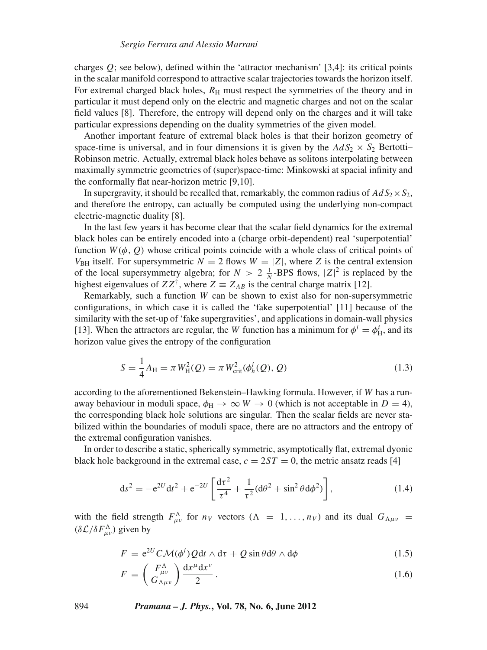charges  $Q$ ; see below), defined within the 'attractor mechanism' [3,4]: its critical points in the scalar manifold correspond to attractive scalar trajectories towards the horizon itself. For extremal charged black holes,  $R<sub>H</sub>$  must respect the symmetries of the theory and in particular it must depend only on the electric and magnetic charges and not on the scalar field values [8]. Therefore, the entropy will depend only on the charges and it will take particular expressions depending on the duality symmetries of the given model.

Another important feature of extremal black holes is that their horizon geometry of space-time is universal, and in four dimensions it is given by the  $AdS_2 \times S_2$  Bertotti-Robinson metric. Actually, extremal black holes behave as solitons interpolating between maximally symmetric geometries of (super)space-time: Minkowski at spacial infinity and the conformally flat near-horizon metric [9,10].

In supergravity, it should be recalled that, remarkably, the common radius of  $AdS_2 \times S_2$ , and therefore the entropy, can actually be computed using the underlying non-compact electric-magnetic duality [8].

In the last few years it has become clear that the scalar field dynamics for the extremal black holes can be entirely encoded into a (charge orbit-dependent) real 'superpotential' function  $W(\phi, Q)$  whose critical points coincide with a whole class of critical points of  $V_{BH}$  itself. For supersymmetric  $N = 2$  flows  $W = |Z|$ , where *Z* is the central extension of the local supersymmetry algebra; for  $N > 2 \frac{1}{N}$ -BPS flows,  $|Z|^2$  is replaced by the highest eigenvalues of  $ZZ^{\dagger}$ , where  $Z \equiv Z_{AB}$  is the central charge matrix [12].

Remarkably, such a function *W* can be shown to exist also for non-supersymmetric configurations, in which case it is called the 'fake superpotential' [11] because of the similarity with the set-up of 'fake supergravities', and applications in domain-wall physics [13]. When the attractors are regular, the *W* function has a minimum for  $\phi^i = \phi^i_H$ , and its horizon value gives the entropy of the configuration

$$
S = \frac{1}{4}A_{\rm H} = \pi W_{\rm H}^2(Q) = \pi W_{\rm crit}^2(\phi_h^i(Q), Q)
$$
 (1.3)

according to the aforementioned Bekenstein–Hawking formula. However, if *W* has a runaway behaviour in moduli space,  $\phi_H \rightarrow \infty$  *W*  $\rightarrow$  0 (which is not acceptable in *D* = 4), the corresponding black hole solutions are singular. Then the scalar fields are never stabilized within the boundaries of moduli space, there are no attractors and the entropy of the extremal configuration vanishes.

In order to describe a static, spherically symmetric, asymptotically flat, extremal dyonic black hole background in the extremal case,  $c = 2ST = 0$ , the metric ansatz reads [4]

$$
ds^{2} = -e^{2U}dt^{2} + e^{-2U}\left[\frac{d\tau^{2}}{\tau^{4}} + \frac{1}{\tau^{2}}(d\theta^{2} + \sin^{2}\theta d\phi^{2})\right],
$$
 (1.4)

with the field strength  $F_{\mu\nu}^{\Lambda}$  for  $n_V$  vectors  $(\Lambda = 1, ..., n_V)$  and its dual  $G_{\Lambda\mu\nu}$  $(\delta \mathcal{L}/\delta F_{\mu\nu}^{\Lambda})$  given by

$$
F = e^{2U} C \mathcal{M}(\phi^i) Q dt \wedge d\tau + Q \sin \theta d\theta \wedge d\phi \qquad (1.5)
$$

$$
F = \left(\frac{F_{\mu\nu}^{\Lambda}}{G_{\Lambda\mu\nu}}\right) \frac{\mathrm{d}x^{\mu}\mathrm{d}x^{\nu}}{2}.
$$
 (1.6)

894 *Pramana – J. Phys.***, Vol. 78, No. 6, June 2012**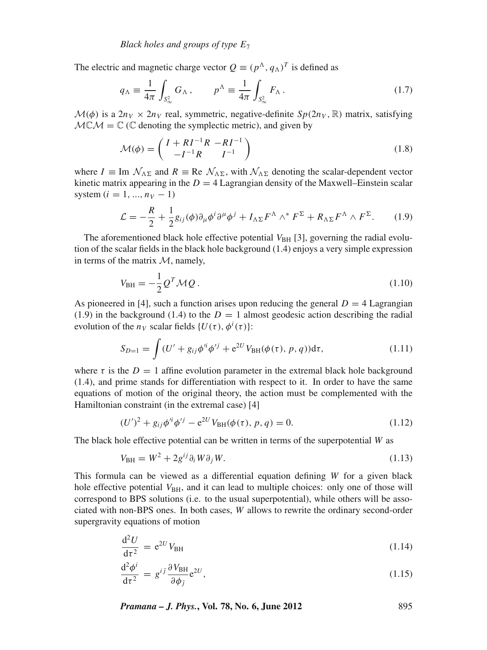The electric and magnetic charge vector  $Q = (p^{\Lambda}, q_{\Lambda})^T$  is defined as

$$
q_{\Lambda} \equiv \frac{1}{4\pi} \int_{S_{\infty}^2} G_{\Lambda} , \qquad p^{\Lambda} \equiv \frac{1}{4\pi} \int_{S_{\infty}^2} F_{\Lambda} .
$$
 (1.7)

 $\mathcal{M}(\phi)$  is a  $2n_V \times 2n_V$  real, symmetric, negative-definite  $Sp(2n_V, \mathbb{R})$  matrix, satisfying  $MCM = \mathbb{C}$  (C denoting the symplectic metric), and given by

$$
\mathcal{M}(\phi) = \begin{pmatrix} I + RI^{-1}R & -RI^{-1} \\ -I^{-1}R & I^{-1} \end{pmatrix} \tag{1.8}
$$

where  $I \equiv \text{Im} \mathcal{N}_{\Delta \Sigma}$  and  $R \equiv \text{Re} \mathcal{N}_{\Delta \Sigma}$ , with  $\mathcal{N}_{\Delta \Sigma}$  denoting the scalar-dependent vector kinetic matrix appearing in the  $D = 4$  Lagrangian density of the Maxwell–Einstein scalar system  $(i = 1, ..., n_V - 1)$ 

$$
\mathcal{L} = -\frac{R}{2} + \frac{1}{2}g_{ij}(\phi)\partial_{\mu}\phi^{i}\partial^{\mu}\phi^{j} + I_{\Lambda\Sigma}F^{\Lambda} \wedge^{*}F^{\Sigma} + R_{\Lambda\Sigma}F^{\Lambda} \wedge F^{\Sigma}.
$$
 (1.9)

The aforementioned black hole effective potential  $V_{\text{BH}}$  [3], governing the radial evolution of the scalar fields in the black hole background (1.4) enjoys a very simple expression in terms of the matrix  $M$ , namely,

$$
V_{\text{BH}} = -\frac{1}{2} Q^T \mathcal{M} Q \,. \tag{1.10}
$$

As pioneered in [4], such a function arises upon reducing the general  $D = 4$  Lagrangian (1.9) in the background (1.4) to the  $D = 1$  almost geodesic action describing the radial evolution of the  $n_V$  scalar fields  $\{U(\tau), \phi^i(\tau)\}$ :

$$
S_{D=1} = \int (U' + g_{ij}\phi'^i \phi'^j + e^{2U} V_{BH}(\phi(\tau), p, q)) d\tau,
$$
 (1.11)

where  $\tau$  is the  $D = 1$  affine evolution parameter in the extremal black hole background (1.4), and prime stands for differentiation with respect to it. In order to have the same equations of motion of the original theory, the action must be complemented with the Hamiltonian constraint (in the extremal case) [4]

$$
(U')^{2} + g_{ij}\phi'^{i}\phi'^{j} - e^{2U}V_{\text{BH}}(\phi(\tau), p, q) = 0.
$$
 (1.12)

The black hole effective potential can be written in terms of the superpotential *W* as

$$
V_{\rm BH} = W^2 + 2g^{ij}\partial_i W \partial_j W. \tag{1.13}
$$

This formula can be viewed as a differential equation defining *W* for a given black hole effective potential  $V_{\text{BH}}$ , and it can lead to multiple choices: only one of those will correspond to BPS solutions (i.e. to the usual superpotential), while others will be associated with non-BPS ones. In both cases, *W* allows to rewrite the ordinary second-order supergravity equations of motion

$$
\frac{\mathrm{d}^2 U}{\mathrm{d}\tau^2} = \mathrm{e}^{2U} V_{\mathrm{BH}} \tag{1.14}
$$

$$
\frac{\mathrm{d}^2 \phi^i}{\mathrm{d}\tau^2} = g^{i\bar{j}} \frac{\partial V_{\text{BH}}}{\partial \phi_{\bar{j}}} e^{2U},\tag{1.15}
$$

*Pramana – J. Phys.***, Vol. 78, No. 6, June 2012** 895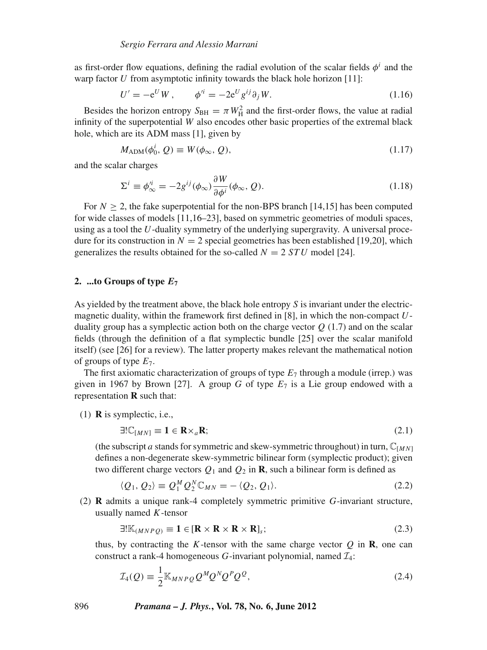as first-order flow equations, defining the radial evolution of the scalar fields  $\phi^i$  and the warp factor *U* from asymptotic infinity towards the black hole horizon [11]:

$$
U' = -e^U W, \qquad \phi'^i = -2e^U g^{ij} \partial_j W. \tag{1.16}
$$

Besides the horizon entropy  $S_{\text{BH}} = \pi W_{\text{H}}^2$  and the first-order flows, the value at radial infinity of the superpotential *W* also encodes other basic properties of the extremal black hole, which are its ADM mass [1], given by

$$
M_{\text{ADM}}(\phi_0^i, Q) \equiv W(\phi_\infty, Q), \tag{1.17}
$$

and the scalar charges

$$
\Sigma^{i} \equiv \phi_{\infty}^{i} = -2g^{ij}(\phi_{\infty}) \frac{\partial W}{\partial \phi^{i}}(\phi_{\infty}, Q). \tag{1.18}
$$

For  $N \geq 2$ , the fake superpotential for the non-BPS branch [14,15] has been computed for wide classes of models [11,16–23], based on symmetric geometries of moduli spaces, using as a tool the *U*-duality symmetry of the underlying supergravity. A universal procedure for its construction in  $N = 2$  special geometries has been established [19,20], which generalizes the results obtained for the so-called  $N = 2$  *STU* model [24].

#### **2. ...to Groups of type** *E***<sup>7</sup>**

As yielded by the treatment above, the black hole entropy *S* is invariant under the electricmagnetic duality, within the framework first defined in [8], in which the non-compact *U*duality group has a symplectic action both on the charge vector  $Q(1.7)$  and on the scalar fields (through the definition of a flat symplectic bundle [25] over the scalar manifold itself) (see [26] for a review). The latter property makes relevant the mathematical notion of groups of type *E*7.

The first axiomatic characterization of groups of type *E*<sup>7</sup> through a module (irrep.) was given in 1967 by Brown [27]. A group *G* of type  $E_7$  is a Lie group endowed with a representation **R** such that:

(1) **R** is symplectic, i.e.,

$$
\exists ! \mathbb{C}_{[MN]} \equiv \mathbf{1} \in \mathbf{R} \times_a \mathbf{R};\tag{2.1}
$$

(the subscript *a* stands for symmetric and skew-symmetric throughout) in turn,  $\mathbb{C}_{[MN]}$ defines a non-degenerate skew-symmetric bilinear form (symplectic product); given two different charge vectors  $Q_1$  and  $Q_2$  in **R**, such a bilinear form is defined as

$$
\langle Q_1, Q_2 \rangle \equiv Q_1^M Q_2^N \mathbb{C}_{MN} = -\langle Q_2, Q_1 \rangle. \tag{2.2}
$$

(2) **R** admits a unique rank-4 completely symmetric primitive *G*-invariant structure, usually named *K*-tensor

$$
\exists! \mathbb{K}_{(MNPQ)} \equiv 1 \in [\mathbf{R} \times \mathbf{R} \times \mathbf{R} \times \mathbf{R}]_s; \tag{2.3}
$$

thus, by contracting the *K*-tensor with the same charge vector  $Q$  in **R**, one can construct a rank-4 homogeneous *G*-invariant polynomial, named  $\mathcal{I}_4$ :

$$
\mathcal{I}_4(Q) \equiv \frac{1}{2} \mathbb{K}_{MNPQ} Q^M Q^N Q^P Q^Q, \qquad (2.4)
$$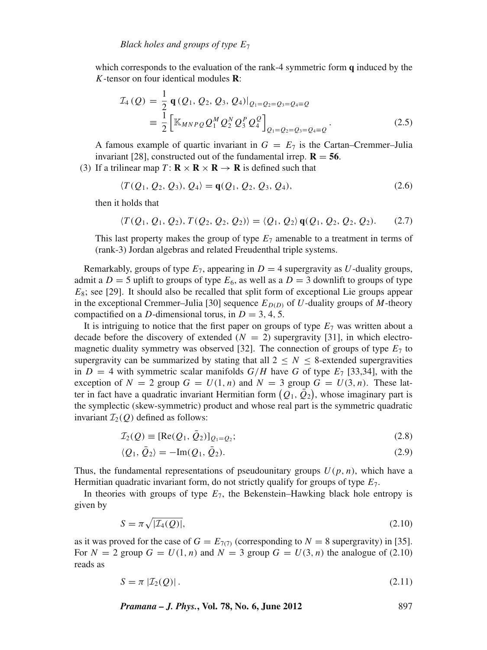which corresponds to the evaluation of the rank-4 symmetric form **q** induced by the *K*-tensor on four identical modules **R**:

$$
\mathcal{I}_4(Q) = \frac{1}{2} \mathbf{q}(Q_1, Q_2, Q_3, Q_4)|_{Q_1 = Q_2 = Q_3 = Q_4 = Q}
$$
\n
$$
\equiv \frac{1}{2} \left[ \mathbb{K}_{MNPQ} Q_1^M Q_2^N Q_3^P Q_4^Q \right]_{Q_1 = Q_2 = Q_3 = Q_4 = Q}.
$$
\n(2.5)

A famous example of quartic invariant in  $G = E_7$  is the Cartan–Cremmer–Julia invariant [28], constructed out of the fundamental irrep.  $\mathbf{R} = 56$ .

(3) If a trilinear map  $T: \mathbf{R} \times \mathbf{R} \times \mathbf{R} \to \mathbf{R}$  is defined such that

$$
\langle T(Q_1, Q_2, Q_3), Q_4 \rangle = \mathbf{q}(Q_1, Q_2, Q_3, Q_4), \tag{2.6}
$$

then it holds that

$$
\langle T(Q_1, Q_1, Q_2), T(Q_2, Q_2, Q_2) \rangle = \langle Q_1, Q_2 \rangle \mathbf{q}(Q_1, Q_2, Q_2, Q_2). \tag{2.7}
$$

This last property makes the group of type  $E_7$  amenable to a treatment in terms of (rank-3) Jordan algebras and related Freudenthal triple systems.

Remarkably, groups of type  $E_7$ , appearing in  $D = 4$  supergravity as U-duality groups, admit a  $D = 5$  uplift to groups of type  $E_6$ , as well as a  $D = 3$  downlift to groups of type *E*<sub>8</sub>; see [29]. It should also be recalled that split form of exceptional Lie groups appear in the exceptional Cremmer–Julia [30] sequence  $E_{D(D)}$  of *U*-duality groups of *M*-theory compactified on a *D*-dimensional torus, in  $D = 3, 4, 5$ .

It is intriguing to notice that the first paper on groups of type  $E_7$  was written about a decade before the discovery of extended  $(N = 2)$  supergravity [31], in which electromagnetic duality symmetry was observed [32]. The connection of groups of type  $E<sub>7</sub>$  to supergravity can be summarized by stating that all  $2 \leq N \leq 8$ -extended supergravities in  $D = 4$  with symmetric scalar manifolds  $G/H$  have G of type  $E_7$  [33,34], with the exception of  $N = 2$  group  $G = U(1, n)$  and  $N = 3$  group  $G = U(3, n)$ . These latter in fact have a quadratic invariant Hermitian form  $(Q_1, \bar{Q}_2)$ , whose imaginary part is the symplectic (skew-symmetric) product and whose real part is the symmetric quadratic invariant  $\mathcal{I}_2(O)$  defined as follows:

$$
\mathcal{I}_2(Q) \equiv [\text{Re}(Q_1, \bar{Q}_2)]_{Q_1 = Q_2};\tag{2.8}
$$

$$
\langle Q_1, \bar{Q}_2 \rangle = -\text{Im}(Q_1, \bar{Q}_2). \tag{2.9}
$$

Thus, the fundamental representations of pseudounitary groups  $U(p, n)$ , which have a Hermitian quadratic invariant form, do not strictly qualify for groups of type *E*7.

In theories with groups of type  $E_7$ , the Bekenstein–Hawking black hole entropy is given by

$$
S = \pi \sqrt{|\mathcal{I}_4(Q)|},\tag{2.10}
$$

as it was proved for the case of  $G = E_{7(7)}$  (corresponding to  $N = 8$  supergravity) in [35]. For  $N = 2$  group  $G = U(1, n)$  and  $N = 3$  group  $G = U(3, n)$  the analogue of (2.10) reads as

$$
S = \pi \left| \mathcal{I}_2(\mathcal{Q}) \right| \tag{2.11}
$$

*Pramana – J. Phys.***, Vol. 78, No. 6, June 2012** 897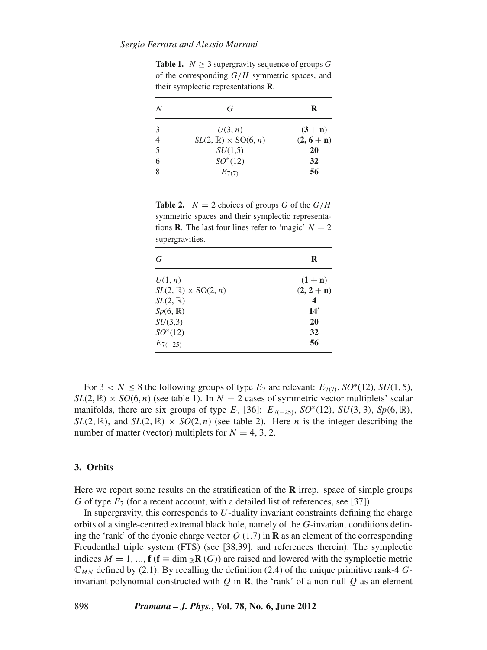**Table 1.**  $N > 3$  supergravity sequence of groups *G* of the corresponding *G*/*H* symmetric spaces, and their symplectic representations **R**.

| N                        | G                                | R            |
|--------------------------|----------------------------------|--------------|
| 3                        | U(3, n)                          | $(3 + n)$    |
|                          | $SL(2,\mathbb{R})\times SO(6,n)$ | $(2, 6 + n)$ |
| $\overline{\mathcal{L}}$ | SU(1,5)                          | 20           |
| 6                        | $SO^*(12)$                       | 32           |
| 8                        | $E_{7(7)}$                       | 56           |

**Table 2.**  $N = 2$  choices of groups *G* of the  $G/H$ symmetric spaces and their symplectic representations **R**. The last four lines refer to 'magic'  $N = 2$ supergravities.

| G                                | R            |
|----------------------------------|--------------|
| U(1, n)                          | $(1 + n)$    |
| $SL(2,\mathbb{R})\times SO(2,n)$ | $(2, 2 + n)$ |
| $SL(2,\mathbb{R})$               | 4            |
| $Sp(6,\mathbb{R})$               | 14'          |
| SU(3,3)                          | 20           |
| $SO^*(12)$                       | 32           |
| $E_{7(-25)}$                     | 56           |

For  $3 < N \le 8$  the following groups of type  $E_7$  are relevant:  $E_{7(7)}$ ,  $SO^*(12)$ ,  $SU(1, 5)$ ,  $SL(2, \mathbb{R}) \times SO(6, n)$  (see table 1). In  $N = 2$  cases of symmetric vector multiplets' scalar manifolds, there are six groups of type  $E_7$  [36]:  $E_{7(-25)}$ ,  $SO^*(12)$ ,  $SU(3, 3)$ ,  $Sp(6, \mathbb{R})$ ,  $SL(2, \mathbb{R})$ , and  $SL(2, \mathbb{R}) \times SO(2, n)$  (see table 2). Here *n* is the integer describing the number of matter (vector) multiplets for  $N = 4, 3, 2$ .

### **3. Orbits**

Here we report some results on the stratification of the **R** irrep. space of simple groups *G* of type  $E_7$  (for a recent account, with a detailed list of references, see [37]).

In supergravity, this corresponds to *U*-duality invariant constraints defining the charge orbits of a single-centred extremal black hole, namely of the *G*-invariant conditions defining the 'rank' of the dyonic charge vector  $Q(1.7)$  in **R** as an element of the corresponding Freudenthal triple system (FTS) (see [38,39], and references therein). The symplectic indices  $M = 1, ...,$  **f** (**f**  $\equiv$  dim  $_{\mathbb{R}}$ **R** (*G*)) are raised and lowered with the symplectic metric C*M N* defined by (2.1). By recalling the definition (2.4) of the unique primitive rank-4 *G*invariant polynomial constructed with *Q* in **R**, the 'rank' of a non-null *Q* as an element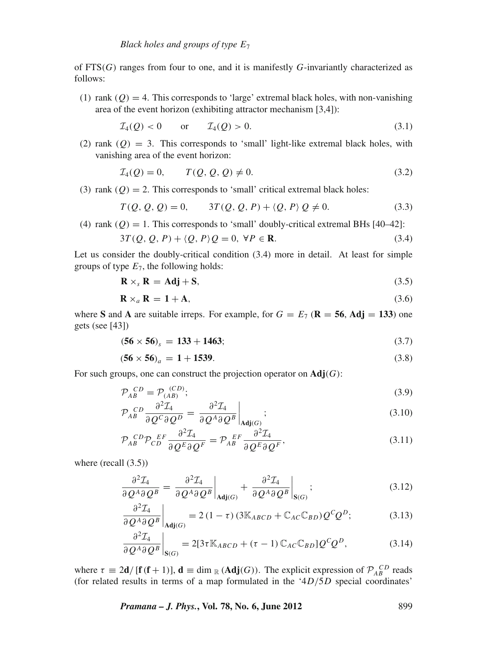of FTS(*G*) ranges from four to one, and it is manifestly *G*-invariantly characterized as follows:

(1) rank  $(Q) = 4$ . This corresponds to 'large' extremal black holes, with non-vanishing area of the event horizon (exhibiting attractor mechanism [3,4]):

$$
\mathcal{I}_4(Q) < 0 \qquad \text{or} \qquad \mathcal{I}_4(Q) > 0. \tag{3.1}
$$

(2) rank  $(Q) = 3$ . This corresponds to 'small' light-like extremal black holes, with vanishing area of the event horizon:

$$
\mathcal{I}_4(Q) = 0, \qquad T(Q, Q, Q) \neq 0. \tag{3.2}
$$

(3) rank  $(Q) = 2$ . This corresponds to 'small' critical extremal black holes:

$$
T(Q, Q, Q) = 0, \qquad 3T(Q, Q, P) + \langle Q, P \rangle Q \neq 0. \tag{3.3}
$$

(4) rank  $(Q) = 1$ . This corresponds to 'small' doubly-critical extremal BHs [40–42]:

$$
3T(Q, Q, P) + \langle Q, P \rangle Q = 0, \ \forall P \in \mathbf{R}.\tag{3.4}
$$

Let us consider the doubly-critical condition (3.4) more in detail. At least for simple groups of type *E*7, the following holds:

$$
\mathbf{R} \times_s \mathbf{R} = \mathbf{Adj} + \mathbf{S},\tag{3.5}
$$

$$
\mathbf{R} \times_a \mathbf{R} = 1 + \mathbf{A},\tag{3.6}
$$

where **S** and **A** are suitable irreps. For example, for  $G = E_7$  ( $\mathbf{R} = 56$ , Adj = 133) one gets (see [43])

$$
(56 \times 56)_s = 133 + 1463; \tag{3.7}
$$

$$
(56 \times 56)a = 1 + 1539. \tag{3.8}
$$

For such groups, one can construct the projection operator on **Adj**(*G*):

$$
\mathcal{P}_{AB}^{CD} = \mathcal{P}_{(AB)}^{(CD)};
$$
\n
$$
(3.9)
$$

$$
\mathcal{P}_{AB}^{CD} \frac{\partial^2 \mathcal{I}_4}{\partial Q^C \partial Q^D} = \frac{\partial^2 \mathcal{I}_4}{\partial Q^A \partial Q^B} \bigg|_{\text{Adj}(G)}; \tag{3.10}
$$

$$
\mathcal{P}_{AB}^{CD}\mathcal{P}_{CD}^{EF}\frac{\partial^2 \mathcal{I}_4}{\partial Q^E \partial Q^F} = \mathcal{P}_{AB}^{EF}\frac{\partial^2 \mathcal{I}_4}{\partial Q^E \partial Q^F},\tag{3.11}
$$

where (recall  $(3.5)$ )

$$
\frac{\partial^2 \mathcal{I}_4}{\partial Q^A \partial Q^B} = \frac{\partial^2 \mathcal{I}_4}{\partial Q^A \partial Q^B} \bigg|_{\mathbf{Adj}(G)} + \frac{\partial^2 \mathcal{I}_4}{\partial Q^A \partial Q^B} \bigg|_{\mathbf{S}(G)}; \tag{3.12}
$$

$$
\frac{\partial^2 \mathcal{I}_4}{\partial Q^A \partial Q^B} \bigg|_{\text{Adj}(G)} = 2 (1 - \tau) (3 \mathbb{K}_{ABCD} + \mathbb{C}_{AC} \mathbb{C}_{BD}) Q^C Q^D; \tag{3.13}
$$

$$
\frac{\partial^2 \mathcal{I}_4}{\partial Q^A \partial Q^B} \bigg|_{\mathbf{S}(G)} = 2[3\tau \mathbb{K}_{ABCD} + (\tau - 1) \mathbb{C}_{AC} \mathbb{C}_{BD}] Q^C Q^D, \tag{3.14}
$$

where  $\tau \equiv 2d/[f(f+1)], d \equiv \dim_{\mathbb{R}}(Adj(G))$ . The explicit expression of  $\mathcal{P}_{AB}^{CD}$  reads (for related results in terms of a map formulated in the '4*D*/5*D* special coordinates'

*Pramana – J. Phys.***, Vol. 78, No. 6, June 2012** 899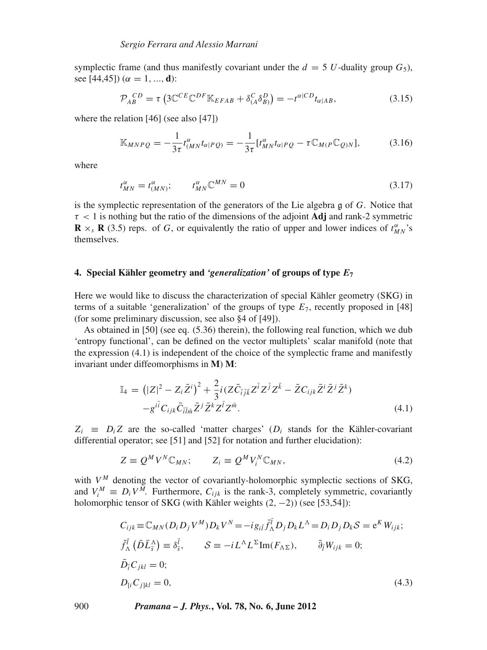symplectic frame (and thus manifestly covariant under the  $d = 5$  *U*-duality group  $G_5$ ). see [44,45]) ( $\alpha = 1, ..., d$ ):

$$
\mathcal{P}_{AB}^{CD} = \tau \left( 3\mathbb{C}^{CE} \mathbb{C}^{DF} \mathbb{K}_{EFAB} + \delta^C_{(A} \delta^D_{B)} \right) = -t^{\alpha|CD} t_{\alpha|AB},\tag{3.15}
$$

where the relation [46] (see also [47])

$$
\mathbb{K}_{MNPQ} = -\frac{1}{3\tau} t^{\alpha}_{(MN} t_{\alpha|PQ)} = -\frac{1}{3\tau} [t^{\alpha}_{MN} t_{\alpha|PQ} - \tau \mathbb{C}_{M(P} \mathbb{C}_{Q)N}], \tag{3.16}
$$

where

$$
t_{MN}^{\alpha} = t_{(MN)}^{\alpha}; \qquad t_{MN}^{\alpha} \mathbb{C}^{MN} = 0 \tag{3.17}
$$

is the symplectic representation of the generators of the Lie algebra g of *G*. Notice that  $\tau$  < 1 is nothing but the ratio of the dimensions of the adjoint **Adj** and rank-2 symmetric **R**  $\times$ <sub>s</sub> **R** (3.5) reps. of *G*, or equivalently the ratio of upper and lower indices of  $t_{MN}^{\alpha}$ 's themselves.

#### **4. Special Kähler geometry and** *'generalization'* **of groups of type** *E***<sup>7</sup>**

Here we would like to discuss the characterization of special Kähler geometry (SKG) in terms of a suitable 'generalization' of the groups of type  $E_7$ , recently proposed in [48] (for some preliminary discussion, see also §4 of [49]).

As obtained in [50] (see eq. (5.36) therein), the following real function, which we dub 'entropy functional', can be defined on the vector multiplets' scalar manifold (note that the expression (4.1) is independent of the choice of the symplectic frame and manifestly invariant under diffeomorphisms in **M**) **M**:

$$
\mathbb{I}_{4} = (|Z|^{2} - Z_{i}\bar{Z}^{i})^{2} + \frac{2}{3}i(Z\bar{C}_{\bar{i}j\bar{k}}Z^{\bar{i}}Z^{\bar{j}}Z^{\bar{k}} - \bar{Z}C_{ijk}\bar{Z}^{i}\bar{Z}^{j}\bar{Z}^{k})
$$

$$
-g^{i\bar{i}}C_{ijk}\bar{C}_{\bar{i}l\bar{m}}\bar{Z}^{j}\bar{Z}^{k}Z^{\bar{l}}Z^{\bar{m}}.
$$
(4.1)

 $Z_i$   $\equiv$  *D<sub>i</sub> Z* are the so-called 'matter charges' (*D<sub>i</sub>* stands for the Kähler-covariant differential operator; see [51] and [52] for notation and further elucidation):

$$
Z \equiv Q^M V^N \mathbb{C}_{MN}; \qquad Z_i \equiv Q^M V_i^N \mathbb{C}_{MN}, \tag{4.2}
$$

with  $V^M$  denoting the vector of covariantly-holomorphic symplectic sections of SKG, and  $V_i^M \equiv D_i V^M$ . Furthermore,  $C_{ijk}$  is the rank-3, completely symmetric, covariantly holomorphic tensor of SKG (with Kähler weights (2, −2)) (see [53,54]):

$$
C_{ijk} \equiv \mathbb{C}_{MN}(D_i D_j V^M) D_k V^N = -i g_{i\bar{l}} \bar{f}_{\Lambda}^{\bar{l}} D_j D_k L^{\Lambda} = D_i D_j D_k S = e^K W_{ijk};
$$
  
\n
$$
\bar{f}_{\Lambda}^{\bar{l}} (\bar{D} \bar{L}_{\bar{s}}^{\Lambda}) \equiv \delta_{\bar{s}}^{\bar{l}}, \qquad S \equiv -i L^{\Lambda} L^{\Sigma} \text{Im}(F_{\Lambda \Sigma}), \qquad \bar{\partial}_{\bar{l}} W_{ijk} = 0;
$$
  
\n
$$
\bar{D}_{\bar{i}} C_{jkl} = 0;
$$
  
\n
$$
D_{[i} C_{j]kl} = 0,
$$
\n(4.3)

900 *Pramana – J. Phys.***, Vol. 78, No. 6, June 2012**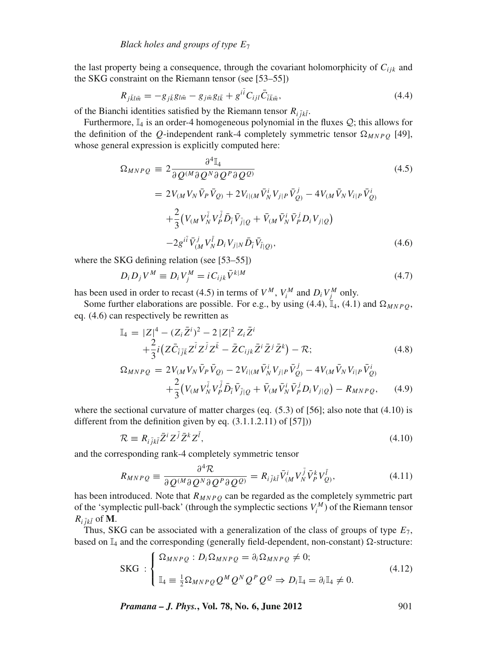the last property being a consequence, through the covariant holomorphicity of  $C_{ijk}$  and the SKG constraint on the Riemann tensor (see [53–55])

$$
R_{j\bar{k}l\bar{m}} = -g_{j\bar{k}}g_{l\bar{m}} - g_{j\bar{m}}g_{l\bar{k}} + g^{i\bar{i}}C_{ijl}\bar{C}_{\bar{i}\bar{k}\bar{m}},
$$
\n(4.4)

of the Bianchi identities satisfied by the Riemann tensor  $R_{\tilde{i} \tilde{j}k\tilde{l}}$ .

Furthermore,  $\mathbb{I}_4$  is an order-4 homogeneous polynomial in the fluxes  $\mathcal{Q}$ ; this allows for the definition of the *Q*-independent rank-4 completely symmetric tensor  $\Omega_{MNPQ}$  [49], whose general expression is explicitly computed here:

$$
\Omega_{MNPQ} = 2 \frac{\partial^4 \mathbb{I}_4}{\partial Q^{(M} \partial Q^N \partial Q^P \partial Q^Q)}
$$
\n
$$
= 2V_{(M} V_N \bar{V}_P \bar{V}_Q) + 2V_{i|(M} \bar{V}_N^i V_{j|P} \bar{V}_Q^j) - 4V_{(M} \bar{V}_N V_{i|P} \bar{V}_Q^i) \n+ \frac{2}{3} (V_{(M} V_N^{\bar{i}} V_P^{\bar{j}} \bar{D}_{\bar{i}} \bar{V}_{\bar{j}|Q} + \bar{V}_{(M} \bar{V}_N^i \bar{V}_P^j D_i V_{j|Q}) \n- 2g^{i\bar{i}} \bar{V}_{(M}^j V_N^{\bar{j}} D_i V_{j|N} \bar{D}_{\bar{i}} \bar{V}_{\bar{l}|Q},
$$
\n(4.6)

where the SKG defining relation (see [53–55])

$$
D_i D_j V^M \equiv D_i V_j^M = i C_{ijk} \bar{V}^{k|M} \tag{4.7}
$$

has been used in order to recast (4.5) in terms of  $V^M$ ,  $V_i^M$  and  $D_i V_j^M$  only.

Some further elaborations are possible. For e.g., by using (4.4),  $\mathbb{I}_4$ , (4.1) and  $\Omega_{MNPQ}$ , eq. (4.6) can respectively be rewritten as

$$
\begin{split} \mathbb{I}_{4} &= |Z|^{4} - (Z_{i}\bar{Z}^{i})^{2} - 2|Z|^{2}Z_{i}\bar{Z}^{i} \\ &+ \frac{2}{3}i(Z\bar{C}_{\bar{i}\bar{j}\bar{k}}Z^{\bar{i}}Z^{\bar{j}}Z^{\bar{k}} - \bar{Z}C_{ijk}\bar{Z}^{i}\bar{Z}^{j}\bar{Z}^{k}) - \mathcal{R}; \end{split} \tag{4.8}
$$
\n
$$
\Omega_{MNPQ} = 2V_{(M}V_{N}\bar{V}_{P}\bar{V}_{Q)} - 2V_{i|(M}\bar{V}_{N}^{i}V_{j|P}\bar{V}_{Q)}^{j} - 4V_{(M}\bar{V}_{N}V_{i|P}\bar{V}_{Q)}^{i} \\ &+ \frac{2}{3}(V_{(M}V_{N}^{\bar{i}}V_{P}^{\bar{j}}\bar{D}_{\bar{i}}\bar{V}_{\bar{j}|Q} + \bar{V}_{(M}\bar{V}_{N}^{i}\bar{V}_{P}^{j}D_{i}V_{j|Q}) - R_{MNPQ}, \end{split} \tag{4.9}
$$

where the sectional curvature of matter charges (eq.  $(5.3)$  of [56]; also note that  $(4.10)$  is different from the definition given by eq. (3.1.1.2.11) of [57]))

$$
\mathcal{R} \equiv R_{i\bar{j}k\bar{l}} \bar{Z}^i Z^{\bar{j}} \bar{Z}^k Z^{\bar{l}},\tag{4.10}
$$

and the corresponding rank-4 completely symmetric tensor

$$
R_{MNPQ} \equiv \frac{\partial^4 \mathcal{R}}{\partial Q^{(M} \partial Q^N \partial Q^P \partial Q^Q)} = R_{i\bar{j}k\bar{l}} \bar{V}_{(M}^i V_N^{\bar{j}} \bar{V}_P^k V_Q^{\bar{l}}, \qquad (4.11)
$$

has been introduced. Note that  $R_{MNPQ}$  can be regarded as the completely symmetric part of the 'symplectic pull-back' (through the symplectic sections  $V_i^M$ ) of the Riemann tensor  $R_{i\,\bar{i}k\bar{l}}$  of **M**.

Thus, SKG can be associated with a generalization of the class of groups of type *E*7, based on  $\mathbb{I}_4$  and the corresponding (generally field-dependent, non-constant)  $\Omega$ -structure:

SKG: 
$$
\begin{cases} \Omega_{MNPQ} : D_i \Omega_{MNPQ} = \partial_i \Omega_{MNPQ} \neq 0; \\ \mathbb{I}_4 \equiv \frac{1}{2} \Omega_{MNPQ} Q^M Q^N Q^P Q^Q \Rightarrow D_i \mathbb{I}_4 = \partial_i \mathbb{I}_4 \neq 0. \end{cases}
$$
(4.12)

*Pramana – J. Phys.*, Vol. 78, No. 6, June 2012 901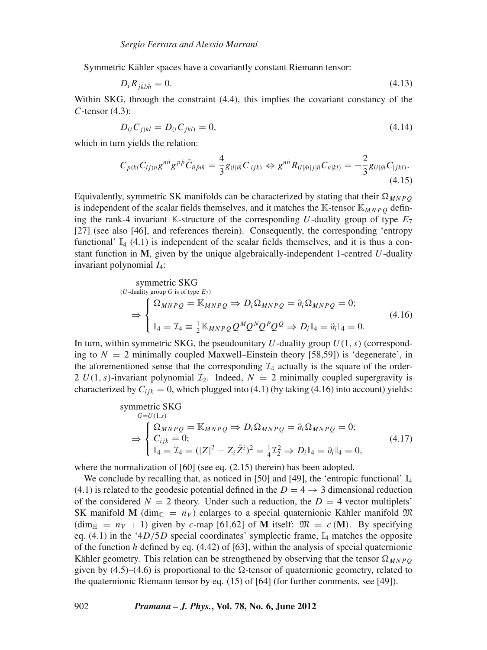Symmetric Kähler spaces have a covariantly constant Riemann tensor:

$$
D_i R_{j\bar{k}l\bar{m}} = 0. \tag{4.13}
$$

Within SKG, through the constraint (4.4), this implies the covariant constancy of the *C*-tensor (4.3):

$$
D_{(i}C_{j)kl} = D_{(i}C_{jkl)} = 0,
$$
\n(4.14)

which in turn yields the relation:

$$
C_{p(kl}C_{ij)n}g^{n\bar{n}}g^{p\bar{p}}\bar{C}_{\bar{n}\bar{p}\bar{m}} = \frac{4}{3}g_{(l|\bar{m}C_{\parallel ijk})} \Leftrightarrow g^{n\bar{n}}R_{(i|\bar{m}|j|\bar{n}C_{n|kl})} = -\frac{2}{3}g_{(i|\bar{m}C_{\parallel jkl})}.
$$
\n(4.15)

Equivalently, symmetric SK manifolds can be characterized by stating that their  $\Omega_{MNPQ}$ is independent of the scalar fields themselves, and it matches the  $K$ -tensor  $K_{MNPQ}$  defining the rank-4 invariant K-structure of the corresponding U-duality group of type  $E_7$ [27] (see also [46], and references therein). Consequently, the corresponding 'entropy functional'  $\mathbb{I}_4$  (4.1) is independent of the scalar fields themselves, and it is thus a constant function in **M**, given by the unique algebraically-independent 1-centred *U*-duality invariant polynomial *I*4:

symmetric SKG  
\n(*U*-duality group *G* is of type *E*<sub>7</sub>)  
\n
$$
\Rightarrow \begin{cases}\n\Omega_{MNPQ} = \mathbb{K}_{MNPQ} \Rightarrow D_i \Omega_{MNPQ} = \partial_i \Omega_{MNPQ} = 0; \\
\mathbb{I}_4 = \mathcal{I}_4 \equiv \frac{1}{2} \mathbb{K}_{MNPQ} Q^M Q^N Q^P Q^Q \Rightarrow D_i \mathbb{I}_4 = \partial_i \mathbb{I}_4 = 0.\n\end{cases}
$$
\n(4.16)

In turn, within symmetric SKG, the pseudounitary  $U$ -duality group  $U(1, s)$  (corresponding to  $N = 2$  minimally coupled Maxwell–Einstein theory [58,59]) is 'degenerate', in the aforementioned sense that the corresponding  $\mathcal{I}_4$  actually is the square of the order-2  $U(1, s)$ -invariant polynomial  $\mathcal{I}_2$ . Indeed,  $N = 2$  minimally coupled supergravity is characterized by  $C_{ijk} = 0$ , which plugged into (4.1) (by taking (4.16) into account) yields:

symmetric SKG  
\n
$$
{}^{G=U(1,s)} \Rightarrow \begin{cases} \Omega_{MNPQ} = \mathbb{K}_{MNPQ} \Rightarrow D_i \Omega_{MNPQ} = \partial_i \Omega_{MNPQ} = 0; \\ C_{ijk} = 0; \\ \mathbb{I}_4 = \mathcal{I}_4 = (|Z|^2 - Z_i \bar{Z}^i)^2 = \frac{1}{4} \mathcal{I}_2^2 \Rightarrow D_i \mathbb{I}_4 = \partial_i \mathbb{I}_4 = 0, \end{cases}
$$
\n(4.17)

where the normalization of [60] (see eq. (2.15) therein) has been adopted.

We conclude by recalling that, as noticed in [50] and [49], the 'entropic functional'  $\mathbb{I}_4$ (4.1) is related to the geodesic potential defined in the  $D = 4 \rightarrow 3$  dimensional reduction of the considered  $N = 2$  theory. Under such a reduction, the  $D = 4$  vector multiplets' SK manifold **M** (dim<sub>C</sub> =  $n_V$ ) enlarges to a special quaternionic Kähler manifold  $\mathfrak{M}$ (dim<sub>H</sub> =  $n_V$  + 1) given by *c*-map [61,62] of **M** itself:  $\mathfrak{M} = c$  (**M**). By specifying eq. (4.1) in the '4 $D/5D$  special coordinates' symplectic frame,  $\mathbb{I}_4$  matches the opposite of the function *h* defined by eq. (4.42) of [63], within the analysis of special quaternionic Kähler geometry. This relation can be strengthened by observing that the tensor  $\Omega_{MNPO}$ given by  $(4.5)$ – $(4.6)$  is proportional to the  $\Omega$ -tensor of quaternionic geometry, related to the quaternionic Riemann tensor by eq. (15) of [64] (for further comments, see [49]).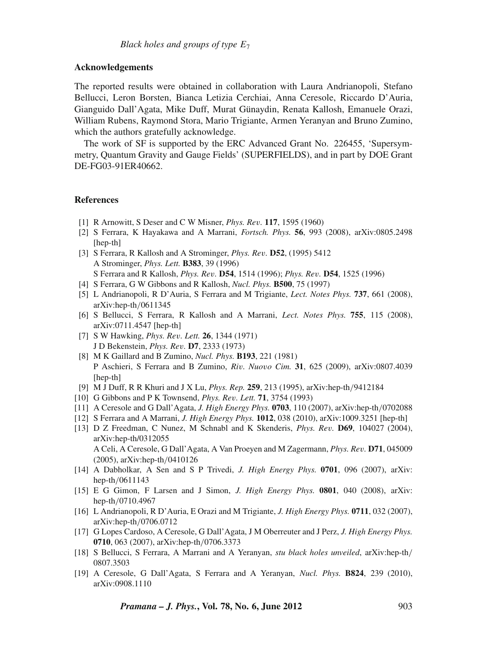# **Acknowledgements**

The reported results were obtained in collaboration with Laura Andrianopoli, Stefano Bellucci, Leron Borsten, Bianca Letizia Cerchiai, Anna Ceresole, Riccardo D'Auria, Gianguido Dall'Agata, Mike Duff, Murat Günaydin, Renata Kallosh, Emanuele Orazi, William Rubens, Raymond Stora, Mario Trigiante, Armen Yeranyan and Bruno Zumino, which the authors gratefully acknowledge.

The work of SF is supported by the ERC Advanced Grant No. 226455, 'Supersymmetry, Quantum Gravity and Gauge Fields' (SUPERFIELDS), and in part by DOE Grant DE-FG03-91ER40662.

### **References**

- [1] R Arnowitt, S Deser and C W Misner, *Phys. Re*v*.* **117**, 1595 (1960)
- [2] S Ferrara, K Hayakawa and A Marrani, *Fortsch. Phys.* **56**, 993 (2008), arXiv:0805.2498 [hep-th]
- [3] S Ferrara, R Kallosh and A Strominger, *Phys. Re*v*.* **D52**, (1995) 5412 A Strominger, *Phys. Lett.* **B383**, 39 (1996) S Ferrara and R Kallosh, *Phys. Re*v*.* **D54**, 1514 (1996); *Phys. Re*v*.* **D54**, 1525 (1996)
- [4] S Ferrara, G W Gibbons and R Kallosh, *Nucl. Phys.* **B500**, 75 (1997)
- [5] L Andrianopoli, R D'Auria, S Ferrara and M Trigiante, *Lect. Notes Phys.* **737**, 661 (2008), arXiv:hep-th/0611345
- [6] S Bellucci, S Ferrara, R Kallosh and A Marrani, *Lect. Notes Phys.* **755**, 115 (2008), arXiv:0711.4547 [hep-th]
- [7] S W Hawking, *Phys. Re*v*. Lett.* **26**, 1344 (1971) J D Bekenstein, *Phys. Re*v*.* **D7**, 2333 (1973)
- [8] M K Gaillard and B Zumino, *Nucl. Phys.* **B193**, 221 (1981) P Aschieri, S Ferrara and B Zumino, *Ri*v*. Nuo*v*o Cim.* **31**, 625 (2009), arXiv:0807.4039 [hep-th]
- [9] M J Duff, R R Khuri and J X Lu, *Phys. Rep.* **259**, 213 (1995), arXiv:hep-th/9412184
- [10] G Gibbons and P K Townsend, *Phys. Re*v*. Lett.* **71**, 3754 (1993)
- [11] A Ceresole and G Dall'Agata, *J. High Energy Phys.* **0703**, 110 (2007), arXiv:hep-th/0702088
- [12] S Ferrara and A Marrani, *J. High Energy Phys.* **1012**, 038 (2010), arXiv:1009.3251 [hep-th]
- [13] D Z Freedman, C Nunez, M Schnabl and K Skenderis, *Phys. Re*v*.* **D69**, 104027 (2004), arXiv:hep-th/0312055 A Celi, A Ceresole, G Dall'Agata, A Van Proeyen and M Zagermann, *Phys. Re*v*.* **D71**, 045009 (2005), arXiv:hep-th/0410126
- [14] A Dabholkar, A Sen and S P Trivedi, *J. High Energy Phys.* **0701**, 096 (2007), arXiv: hep-th/0611143
- [15] E G Gimon, F Larsen and J Simon, *J. High Energy Phys.* **0801**, 040 (2008), arXiv: hep-th/0710.4967
- [16] L Andrianopoli, R D'Auria, E Orazi and M Trigiante, *J. High Energy Phys.* **0711**, 032 (2007), arXiv:hep-th/0706.0712
- [17] G Lopes Cardoso, A Ceresole, G Dall'Agata, J M Oberreuter and J Perz, *J. High Energy Phys.* **0710**, 063 (2007), arXiv:hep-th/0706.3373
- [18] S Bellucci, S Ferrara, A Marrani and A Yeranyan, *stu black holes unveiled*, arXiv:hep-th/ 0807.3503
- [19] A Ceresole, G Dall'Agata, S Ferrara and A Yeranyan, *Nucl. Phys.* **B824**, 239 (2010), arXiv:0908.1110

*Pramana – J. Phys.***, Vol. 78, No. 6, June 2012** 903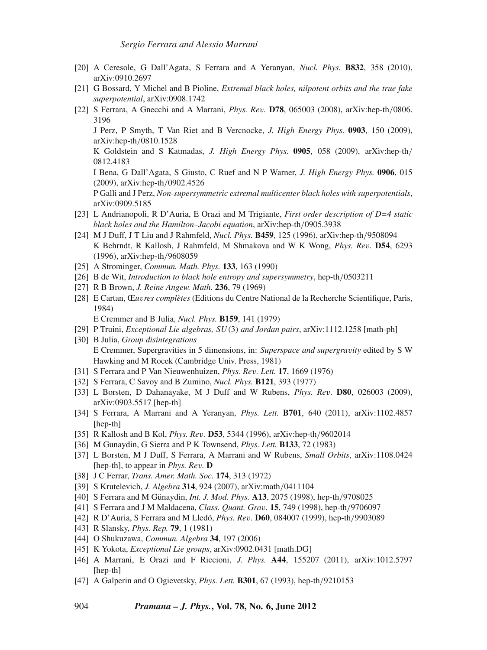- [20] A Ceresole, G Dall'Agata, S Ferrara and A Yeranyan, *Nucl. Phys.* **B832**, 358 (2010), arXiv:0910.2697
- [21] G Bossard, Y Michel and B Pioline, *Extremal black holes, nilpotent orbits and the true fake superpotential*, arXiv:0908.1742
- [22] S Ferrara, A Gnecchi and A Marrani, *Phys. Re*v*.* **D78**, 065003 (2008), arXiv:hep-th/0806. 3196

J Perz, P Smyth, T Van Riet and B Vercnocke, *J. High Energy Phys.* **0903**, 150 (2009), arXiv:hep-th/0810.1528

K Goldstein and S Katmadas, *J. High Energy Phys.* **0905**, 058 (2009), arXiv:hep-th/ 0812.4183

I Bena, G Dall'Agata, S Giusto, C Ruef and N P Warner, *J. High Energy Phys.* **0906**, 015 (2009), arXiv:hep-th/0902.4526

P Galli and J Perz, *Non-supersymmetric extremal multicenter black holes with superpotentials*, arXiv:0909.5185

- [23] L Andrianopoli, R D'Auria, E Orazi and M Trigiante, *First order description of D=4 static black holes and the Hamilton–Jacobi equation*, arXiv:hep-th/0905.3938
- [24] M J Duff, J T Liu and J Rahmfeld, *Nucl. Phys.* **B459**, 125 (1996), arXiv:hep-th/9508094 K Behrndt, R Kallosh, J Rahmfeld, M Shmakova and W K Wong, *Phys. Re*v*.* **D54**, 6293 (1996), arXiv:hep-th/9608059
- [25] A Strominger, *Commun. Math. Phys.* **133**, 163 (1990)
- [26] B de Wit, *Introduction to black hole entropy and supersymmetry*, hep-th/0503211
- [27] R B Brown, *J. Reine Angew. Math.* **236**, 79 (1969)
- [28] E Cartan, Œ*u*v*res complètes* (Editions du Centre National de la Recherche Scientifique, Paris, 1984)

E Cremmer and B Julia, *Nucl. Phys.* **B159**, 141 (1979)

- [29] P Truini, *Exceptional Lie algebras, SU*(3) *and Jordan pairs*, arXiv:1112.1258 [math-ph]
- [30] B Julia, *Group disintegrations* E Cremmer, Supergravities in 5 dimensions, in: *Superspace and supergra*v*ity* edited by S W Hawking and M Rocek (Cambridge Univ. Press, 1981)
- [31] S Ferrara and P Van Nieuwenhuizen, *Phys. Re*v*. Lett.* **17**, 1669 (1976)
- [32] S Ferrara, C Savoy and B Zumino, *Nucl. Phys.* **B121**, 393 (1977)
- [33] L Borsten, D Dahanayake, M J Duff and W Rubens, *Phys. Re*v*.* **D80**, 026003 (2009), arXiv:0903.5517 [hep-th]
- [34] S Ferrara, A Marrani and A Yeranyan, *Phys. Lett.* **B701**, 640 (2011), arXiv:1102.4857 [hep-th]
- [35] R Kallosh and B Kol, *Phys. Re*v*.* **D53**, 5344 (1996), arXiv:hep-th/9602014
- [36] M Gunaydin, G Sierra and P K Townsend, *Phys. Lett.* **B133**, 72 (1983)
- [37] L Borsten, M J Duff, S Ferrara, A Marrani and W Rubens, *Small Orbits*, arXiv:1108.0424 [hep-th], to appear in *Phys. Re*v*.* **D**
- [38] J C Ferrar, *Trans. Amer. Math. Soc.* **174**, 313 (1972)
- [39] S Krutelevich, *J. Algebra* **314**, 924 (2007), arXiv:math/0411104
- [40] S Ferrara and M Günaydin, *Int. J. Mod. Phys.* **A13**, 2075 (1998), hep-th/9708025
- [41] S Ferrara and J M Maldacena, *Class. Quant. Gra*v*.* **15**, 749 (1998), hep-th/9706097
- [42] R D'Auria, S Ferrara and M Lledó, *Phys. Re*v*.* **D60**, 084007 (1999), hep-th/9903089
- [43] R Slansky, *Phys. Rep.* **79**, 1 (1981)
- [44] O Shukuzawa, *Commun. Algebra* **34**, 197 (2006)
- [45] K Yokota, *Exceptional Lie groups*, arXiv:0902.0431 [math.DG]
- [46] A Marrani, E Orazi and F Riccioni, *J. Phys.* **A44**, 155207 (2011), arXiv:1012.5797 [hep-th]
- [47] A Galperin and O Ogievetsky, *Phys. Lett.* **B301**, 67 (1993), hep-th/9210153